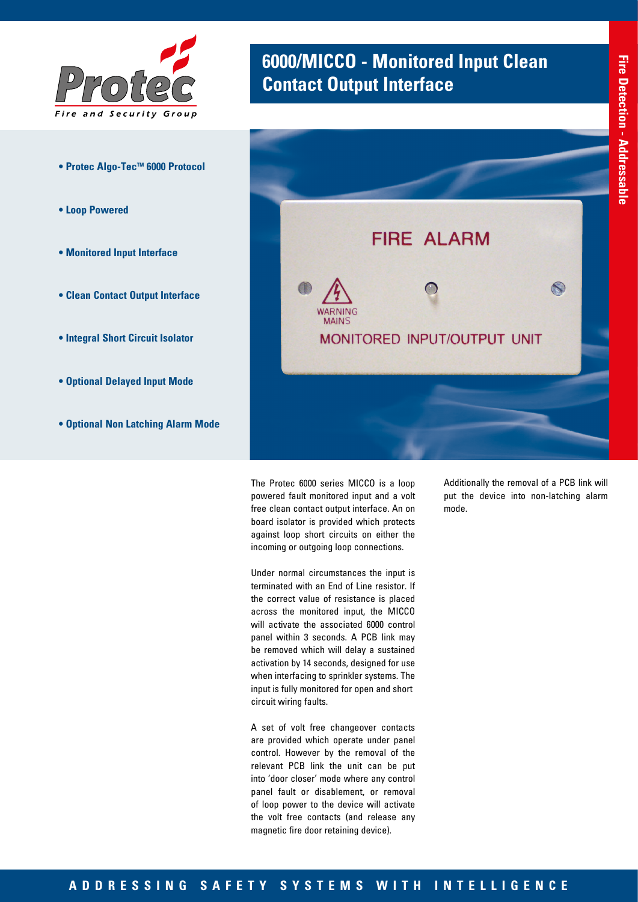

- **Protec Algo-TecTM 6000 Protocol**
- **Loop Powered**
- **Monitored Input Interface**
- **Clean Contact Output Interface**
- **Integral Short Circuit Isolator**
- **Optional Delayed Input Mode**
- **Optional Non Latching Alarm Mode**

## **6000/MICCO - Monitored Input Clean Contact Output Interface**



The Protec 6000 series MICCO is a loop powered fault monitored input and a volt free clean contact output interface. An on board isolator is provided which protects against loop short circuits on either the incoming or outgoing loop connections.

Under normal circumstances the input is terminated with an End of Line resistor. If the correct value of resistance is placed across the monitored input, the MICCO will activate the associated 6000 control panel within 3 seconds. A PCB link may be removed which will delay a sustained activation by 14 seconds, designed for use when interfacing to sprinkler systems. The input is fully monitored for open and short circuit wiring faults.

A set of volt free changeover contacts are provided which operate under panel control. However by the removal of the relevant PCB link the unit can be put into 'door closer' mode where any control panel fault or disablement, or removal of loop power to the device will activate the volt free contacts (and release any magnetic fire door retaining device).

Additionally the removal of a PCB link will put the device into non-latching alarm mode.